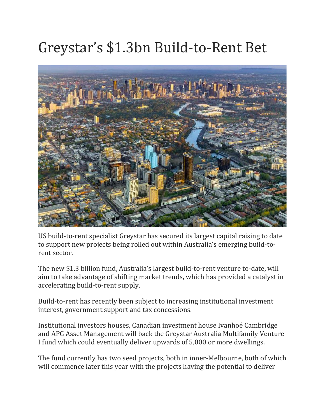## Greystar's \$1.3bn Build-to-Rent Bet



US build-to-rent specialist Greystar has secured its largest capital raising to date to support new projects being rolled out within Australia's emerging build-torent sector.

The new \$1.3 billion fund, Australia's largest build-to-rent venture to-date, will aim to take advantage of shifting market trends, which has provided a catalyst in accelerating build-to-rent supply.

Build-to-rent has recently been subject to increasing institutional investment interest, government support and tax concessions.

Institutional investors houses, Canadian investment house Ivanhoé Cambridge and APG Asset Management will back the Greystar Australia Multifamily Venture I fund which could eventually deliver upwards of 5,000 or more dwellings.

The fund currently has two seed projects, both in inner-Melbourne, both of which will commence later this year with the projects having the potential to deliver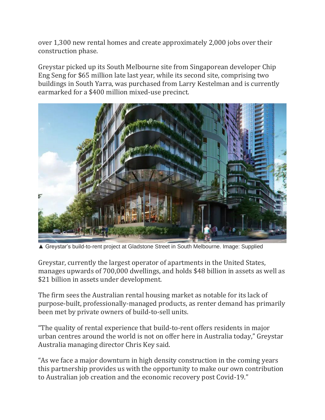over 1,300 new rental homes and create approximately 2,000 jobs over their construction phase.

Greystar picked up its South Melbourne site from Singaporean developer Chip Eng Seng for \$65 million late last year, while its second site, comprising two buildings in South Yarra, was purchased from Larry Kestelman and is currently earmarked for a \$400 million mixed-use precinct.



▲ Greystar's build-to-rent project at Gladstone Street in South Melbourne. Image: Supplied

Greystar, currently the largest operator of apartments in the United States, manages upwards of 700,000 dwellings, and holds \$48 billion in assets as well as \$21 billion in assets under development.

The firm sees the Australian rental housing market as notable for its lack of purpose-built, professionally-managed products, as renter demand has primarily been met by private owners of build-to-sell units.

"The quality of rental experience that build-to-rent offers residents in major urban centres around the world is not on offer here in Australia today," Greystar Australia managing director Chris Key said.

"As we face a major downturn in high density construction in the coming years this partnership provides us with the opportunity to make our own contribution to Australian job creation and the economic recovery post Covid-19."